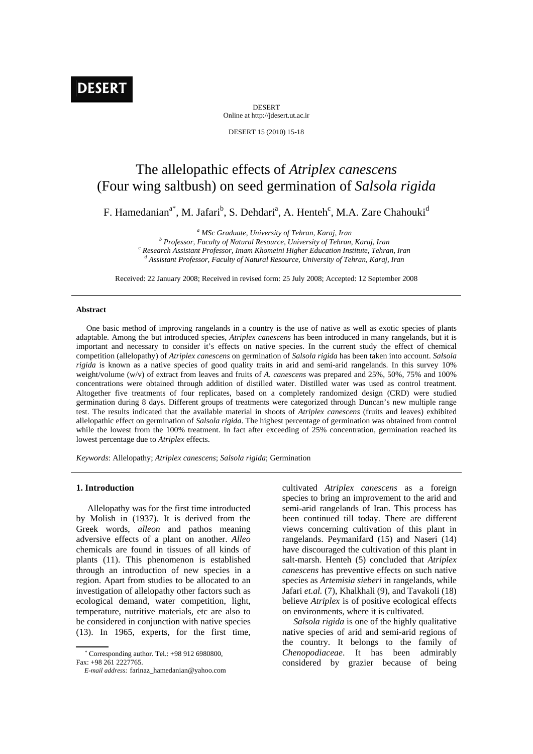DESERT Online at http://jdesert.ut.ac.ir

DESERT 15 (2010) 15-18

# The allelopathic effects of *Atriplex canescens* (Four wing saltbush) on seed germination of *Salsola rigida*

F. Hamedanian<sup>a\*</sup>, M. Jafari<sup>b</sup>, S. Dehdari<sup>a</sup>, A. Henteh<sup>c</sup>, M.A. Zare Chahouki<sup>d</sup>

<sup>a</sup> MSc Graduate, University of Tehran, Karaj, Iran *b* Professor, Equity of Natural Bessures, University of Tehran

 *Professor, Faculty of Natural Resource, University of Tehran, Karaj, Iran c* <sup>c</sup> Research Assistant Professor, Imam Khomeini Higher Education Institute, Tehran, Iran  *Assistant Professor, Faculty of Natural Resource, University of Tehran, Karaj, Iran* 

Received: 22 January 2008; Received in revised form: 25 July 2008; Accepted: 12 September 2008

#### **Abstract**

 One basic method of improving rangelands in a country is the use of native as well as exotic species of plants adaptable. Among the but introduced species, *Atriplex canescens* has been introduced in many rangelands, but it is important and necessary to consider it's effects on native species. In the current study the effect of chemical competition (allelopathy) of *Atriplex canescens* on germination of *Salsola rigida* has been taken into account. *Salsola rigida* is known as a native species of good quality traits in arid and semi-arid rangelands. In this survey 10% weight/volume (w/v) of extract from leaves and fruits of *A. canescens* was prepared and 25%, 50%, 75% and 100% concentrations were obtained through addition of distilled water. Distilled water was used as control treatment. Altogether five treatments of four replicates, based on a completely randomized design (CRD) were studied germination during 8 days. Different groups of treatments were categorized through Duncan's new multiple range test. The results indicated that the available material in shoots of *Atriplex canescens* (fruits and leaves) exhibited allelopathic effect on germination of *Salsola rigida*. The highest percentage of germination was obtained from control while the lowest from the 100% treatment. In fact after exceeding of 25% concentration, germination reached its lowest percentage due to *Atriplex* effects.

*Keywords*: Allelopathy; *Atriplex canescens*; *Salsola rigida*; Germination

### **1. Introduction**

 Allelopathy was for the first time introducted by Molish in (1937). It is derived from the Greek words, *alleon* and pathos meaning adversive effects of a plant on another. *Alleo* chemicals are found in tissues of all kinds of plants (11). This phenomenon is established through an introduction of new species in a region. Apart from studies to be allocated to an investigation of allelopathy other factors such as ecological demand, water competition, light, temperature, nutritive materials, etc are also to be considered in conjunction with native species (13). In 1965, experts, for the first time,

cultivated *Atriplex canescens* as a foreign species to bring an improvement to the arid and semi-arid rangelands of Iran. This process has been continued till today. There are different views concerning cultivation of this plant in rangelands. Peymanifard (15) and Naseri (14) have discouraged the cultivation of this plant in salt-marsh. Henteh (5) concluded that *Atriplex canescens* has preventive effects on such native species as *Artemisia sieberi* in rangelands, while Jafari *et.al.* (7), Khalkhali (9), and Tavakoli (18) believe *Atriplex* is of positive ecological effects on environments, where it is cultivated.

 *Salsola rigida* is one of the highly qualitative native species of arid and semi-arid regions of the country. It belongs to the family of *Chenopodiaceae*. It has been admirably considered by grazier because of being

 Corresponding author. Tel.: +98 912 6980800, Fax: +98 261 2227765.

*E-mail address:* farinaz\_hamedanian@yahoo.com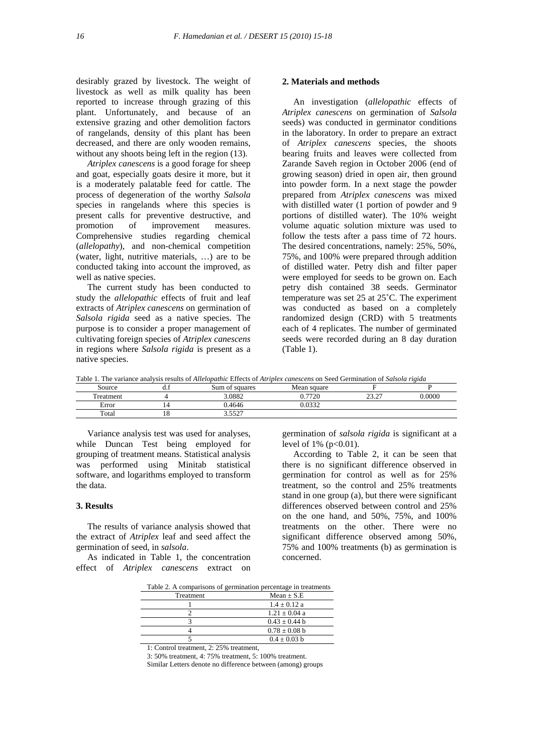desirably grazed by livestock. The weight of livestock as well as milk quality has been reported to increase through grazing of this plant. Unfortunately, and because of an extensive grazing and other demolition factors of rangelands, density of this plant has been decreased, and there are only wooden remains, without any shoots being left in the region  $(13)$ .

 *Atriplex canescens* is a good forage for sheep and goat, especially goats desire it more, but it is a moderately palatable feed for cattle. The process of degeneration of the worthy *Salsola* species in rangelands where this species is present calls for preventive destructive, and promotion of improvement measures. Comprehensive studies regarding chemical (*allelopathy*), and non-chemical competition (water, light, nutritive materials, …) are to be conducted taking into account the improved, as well as native species.

 The current study has been conducted to study the *allelopathic* effects of fruit and leaf extracts of *Atriplex canescens* on germination of *Salsola rigida* seed as a native species. The purpose is to consider a proper management of cultivating foreign species of *Atriplex canescens* in regions where *Salsola rigida* is present as a native species.

#### **2. Materials and methods**

 An investigation (*allelopathic* effects of *Atriplex canescens* on germination of *Salsola*  seeds) was conducted in germinator conditions in the laboratory. In order to prepare an extract of *Atriplex canescens* species, the shoots bearing fruits and leaves were collected from Zarande Saveh region in October 2006 (end of growing season) dried in open air, then ground into powder form. In a next stage the powder prepared from *Atriplex canescens* was mixed with distilled water (1 portion of powder and 9 portions of distilled water). The 10% weight volume aquatic solution mixture was used to follow the tests after a pass time of 72 hours. The desired concentrations, namely: 25%, 50%, 75%, and 100% were prepared through addition of distilled water. Petry dish and filter paper were employed for seeds to be grown on. Each petry dish contained 38 seeds. Germinator temperature was set 25 at 25˚C. The experiment was conducted as based on a completely randomized design (CRD) with 5 treatments each of 4 replicates. The number of germinated seeds were recorded during an 8 day duration (Table 1).

| Table 1. The variance analysis results of <i>Allelopathic</i> Effects of <i>Atriplex canescens</i> on Seed Germination of <i>Salsola rigida</i> |
|-------------------------------------------------------------------------------------------------------------------------------------------------|
|-------------------------------------------------------------------------------------------------------------------------------------------------|

| --------------- | -------<br>----------------   | .<br>-------          | -------------- |                | --------------------- |
|-----------------|-------------------------------|-----------------------|----------------|----------------|-----------------------|
| Source          | $\mathbf{u} \cdot \mathbf{r}$ | Sum of squares        | Mean square    |                |                       |
| reatment        |                               | 3.0882                | 0.7720         | 22.27<br>ے ۔ ب | 0.0000                |
| Error           |                               | 0.4646                | 0.0332         |                |                       |
| Total           | 10                            | 5527<br>J.JJ <i>L</i> |                |                |                       |

 Variance analysis test was used for analyses, while Duncan Test being employed for grouping of treatment means. Statistical analysis was performed using Minitab statistical software, and logarithms employed to transform the data.

## **3. Results**

 The results of variance analysis showed that the extract of *Atriplex* leaf and seed affect the germination of seed, in *salsola*.

 As indicated in Table 1, the concentration effect of *Atriplex canescens* extract on germination of *salsola rigida* is significant at a level of 1% (p<0.01).

 According to Table 2, it can be seen that there is no significant difference observed in germination for control as well as for 25% treatment, so the control and 25% treatments stand in one group (a), but there were significant differences observed between control and 25% on the one hand, and 50%, 75%, and 100% treatments on the other. There were no significant difference observed among 50%, 75% and 100% treatments (b) as germination is concerned.

|           | Table 2. A comparisons of germination percentage in treatments |  |  |
|-----------|----------------------------------------------------------------|--|--|
| Treatment | $Mean + S.E$                                                   |  |  |
|           | $1.4 \pm 0.12$ a                                               |  |  |
|           | $1.21 \pm 0.04$ a                                              |  |  |
|           | $0.43 + 0.44$ h                                                |  |  |
|           | $0.78 \pm 0.08$ b                                              |  |  |
|           | $0.4 \pm 0.03$ b                                               |  |  |

Table 2. A comparisons of germination percentage in treatments

1: Control treatment, 2: 25% treatment,

3: 50% treatment, 4: 75% treatment, 5: 100% treatment.

Similar Letters denote no difference between (among) groups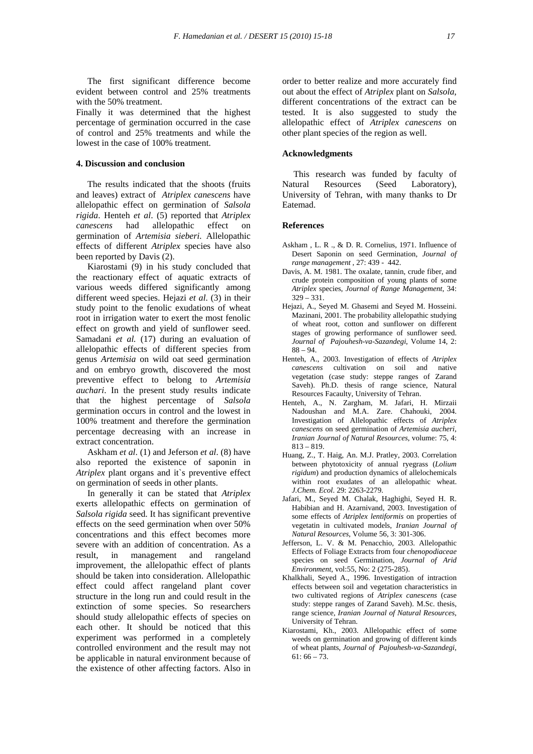The first significant difference become evident between control and 25% treatments with the 50% treatment.

Finally it was determined that the highest percentage of germination occurred in the case of control and 25% treatments and while the lowest in the case of 100% treatment.

## **4. Discussion and conclusion**

 The results indicated that the shoots (fruits and leaves) extract of *Atriplex canescens* have allelopathic effect on germination of *Salsola rigida*. Henteh *et al*. (5) reported that *Atriplex canescens* had allelopathic effect on germination of *Artemisia sieberi*. Allelopathic effects of different *Atriplex* species have also been reported by Davis (2).

 Kiarostami (9) in his study concluded that the reactionary effect of aquatic extracts of various weeds differed significantly among different weed species. Hejazi *et al*. (3) in their study point to the fenolic exudations of wheat root in irrigation water to exert the most fenolic effect on growth and yield of sunflower seed. Samadani *et al.* (17) during an evaluation of allelopathic effects of different species from genus *Artemisia* on wild oat seed germination and on embryo growth, discovered the most preventive effect to belong to *Artemisia auchari*. In the present study results indicate that the highest percentage of *Salsola* germination occurs in control and the lowest in 100% treatment and therefore the germination percentage decreasing with an increase in extract concentration.

 Askham *et al*. (1) and Jeferson *et al*. (8) have also reported the existence of saponin in *Atriplex* plant organs and it's preventive effect on germination of seeds in other plants.

 In generally it can be stated that *Atriplex* exerts allelopathic effects on germination of *Salsola rigida* seed. It has significant preventive effects on the seed germination when over 50% concentrations and this effect becomes more severe with an addition of concentration. As a result, in management and rangeland improvement, the allelopathic effect of plants should be taken into consideration. Allelopathic effect could affect rangeland plant cover structure in the long run and could result in the extinction of some species. So researchers should study allelopathic effects of species on each other. It should be noticed that this experiment was performed in a completely controlled environment and the result may not be applicable in natural environment because of the existence of other affecting factors. Also in order to better realize and more accurately find out about the effect of *Atriplex* plant on *Salsola*, different concentrations of the extract can be tested. It is also suggested to study the allelopathic effect of *Atriplex canescens* on other plant species of the region as well.

## **Acknowledgments**

 This research was funded by faculty of Natural Resources (Seed Laboratory), University of Tehran, with many thanks to Dr Eatemad.

#### **References**

- Askham , L. R ., & D. R. Cornelius, 1971. Influence of Desert Saponin on seed Germination, *Journal of range management* , 27: 439 - 442.
- Davis, A. M. 1981. The oxalate, tannin, crude fiber, and crude protein composition of young plants of some *Atriplex* species, *Journal of Range Management*, 34:  $329 - 331$
- Hejazi, A., Seyed M. Ghasemi and Seyed M. Hosseini. Mazinani, 2001. The probability allelopathic studying of wheat root, cotton and sunflower on different stages of growing performance of sunflower seed. *Journal of Pajouhesh-va-Sazandegi*, Volume 14, 2:  $88 - 94$ .
- Henteh, A., 2003. Investigation of effects of *Atriplex canescens* cultivation on soil and native vegetation (case study: steppe ranges of Zarand Saveh). Ph.D. thesis of range science, Natural Resources Facaulty, University of Tehran.
- Henteh, A., N. Zargham, M. Jafari, H. Mirzaii Nadoushan and M.A. Zare. Chahouki, 2004. Investigation of Allelopathic effects of *Atriplex canescens* on seed germination of *Artemisia aucheri*, *Iranian Journal of Natural Resources*, volume: 75, 4: 813 – 819.
- Huang, Z., T. Haig, An. M.J. Pratley, 2003. Correlation between phytotoxicity of annual ryegrass (*Lolium rigidum*) and production dynamics of allelochemicals within root exudates of an allelopathic wheat. *J.Chem. Ecol*. 29: 2263-2279.
- Jafari, M., Seyed M. Chalak, Haghighi, Seyed H. R. Habibian and H. Azarnivand, 2003. Investigation of some effects of *Atriplex lentiformis* on properties of vegetatin in cultivated models, *Iranian Journal of Natural Resources*, Volume 56, 3: 301-306.
- Jefferson, L. V. & M. Penacchio, 2003. Allelopathic Effects of Foliage Extracts from four *chenopodiaceae* species on seed Germination, *Journal of Arid Environment*, vol:55, No: 2 (275-285).
- Khalkhali, Seyed A., 1996. Investigation of intraction effects between soil and vegetation characteristics in two cultivated regions of *Atriplex canescens* (case study: steppe ranges of Zarand Saveh). M.Sc. thesis, range science, *Iranian Journal of Natural Resources*, University of Tehran.
- Kiarostami, Kh., 2003. Allelopathic effect of some weeds on germination and growing of different kinds of wheat plants, *Journal of Pajouhesh-va-Sazandegi*,  $61: 66 - 73$ .